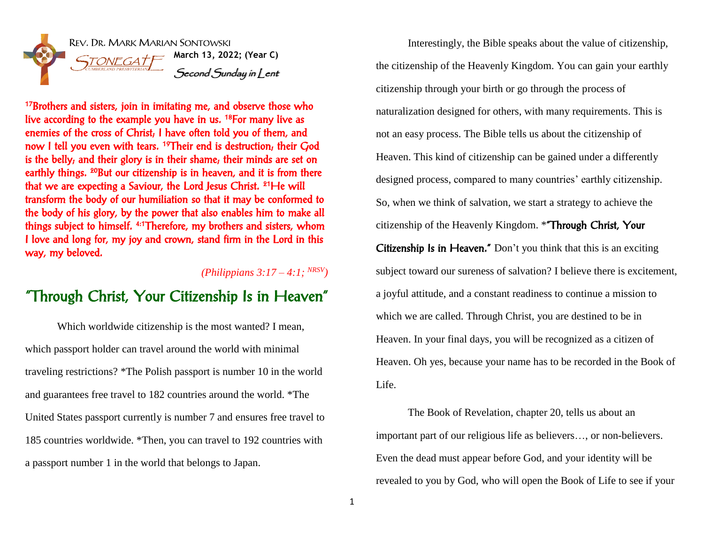

<sup>17</sup>Brothers and sisters, join in imitating me, and observe those who live according to the example you have in us. <sup>18</sup>For many live as enemies of the cross of Christ; I have often told you of them, and now I tell you even with tears. <sup>19</sup>Their end is destruction, their God is the belly; and their glory is in their shame; their minds are set on earthly things. <sup>20</sup>But our citizenship is in heaven, and it is from there that we are expecting a Saviour, the Lord Jesus Christ. <sup>21</sup>He will transform the body of our humiliation so that it may be conformed to the body of his glory, by the power that also enables him to make all things subject to himself. 4:1Therefore, my brothers and sisters, whom I love and long for, my joy and crown, stand firm in the Lord in this way, my beloved.

## *(Philippians 3:17 – 4:1; NRSV)*

## "Through Christ, Your Citizenship Is in Heaven"

Which worldwide citizenship is the most wanted? I mean, which passport holder can travel around the world with minimal traveling restrictions? \*The Polish passport is number 10 in the world and guarantees free travel to 182 countries around the world. \*The United States passport currently is number 7 and ensures free travel to 185 countries worldwide. \*Then, you can travel to 192 countries with a passport number 1 in the world that belongs to Japan.

Interestingly, the Bible speaks about the value of citizenship, the citizenship of the Heavenly Kingdom. You can gain your earthly citizenship through your birth or go through the process of naturalization designed for others, with many requirements. This is not an easy process. The Bible tells us about the citizenship of Heaven. This kind of citizenship can be gained under a differently designed process, compared to many countries' earthly citizenship. So, when we think of salvation, we start a strategy to achieve the citizenship of the Heavenly Kingdom. \*"Through Christ, Your Citizenship Is in Heaven." Don't you think that this is an exciting subject toward our sureness of salvation? I believe there is excitement, a joyful attitude, and a constant readiness to continue a mission to which we are called. Through Christ, you are destined to be in Heaven. In your final days, you will be recognized as a citizen of Heaven. Oh yes, because your name has to be recorded in the Book of Life.

The Book of Revelation, chapter 20, tells us about an important part of our religious life as believers…, or non-believers. Even the dead must appear before God, and your identity will be revealed to you by God, who will open the Book of Life to see if your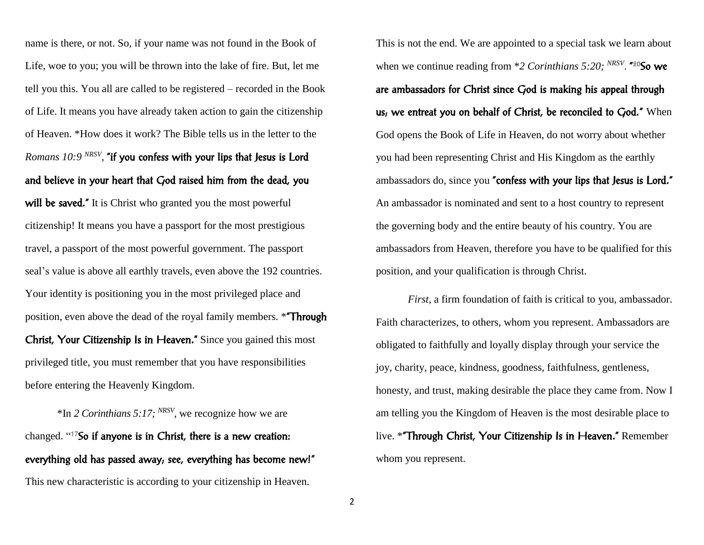name is there, or not. So, if your name was not found in the Book of Life, woe to you; you will be thrown into the lake of fire. But, let me tell you this. You all are called to be registered – recorded in the Book of Life. It means you have already taken action to gain the citizenship of Heaven. \*How does it work? The Bible tells us in the letter to the *Romans 10:9 NRSV* , "if you confess with your lips that Jesus is Lord and believe in your heart that God raised him from the dead, you will be saved." It is Christ who granted you the most powerful citizenship! It means you have a passport for the most prestigious travel, a passport of the most powerful government. The passport seal's value is above all earthly travels, even above the 192 countries. Your identity is positioning you in the most privileged place and position, even above the dead of the royal family members. \*"Through Christ, Your Citizenship Is in Heaven." Since you gained this most privileged title, you must remember that you have responsibilities before entering the Heavenly Kingdom.

\*In *2 Corinthians 5:17; NRSV* , we recognize how we are changed. " <sup>17</sup>So if anyone is in Christ, there is a new creation: everything old has passed away; see, everything has become new!" This new characteristic is according to your citizenship in Heaven.

This is not the end. We are appointed to a special task we learn about when we continue reading from \*2 Corinthians 5:20; <sup>NRSV</sup>. "20So we are ambassadors for Christ since God is making his appeal through us, we entreat you on behalf of Christ, be reconciled to God." When God opens the Book of Life in Heaven, do not worry about whether you had been representing Christ and His Kingdom as the earthly ambassadors do, since you "confess with your lips that Jesus is Lord." An ambassador is nominated and sent to a host country to represent the governing body and the entire beauty of his country. You are ambassadors from Heaven, therefore you have to be qualified for this position, and your qualification is through Christ.

*First*, a firm foundation of faith is critical to you, ambassador. Faith characterizes, to others, whom you represent. Ambassadors are obligated to faithfully and loyally display through your service the joy, charity, peace, kindness, goodness, faithfulness, gentleness, honesty, and trust, making desirable the place they came from. Now I am telling you the Kingdom of Heaven is the most desirable place to live. \*"Through Christ, Your Citizenship Is in Heaven." Remember whom you represent.